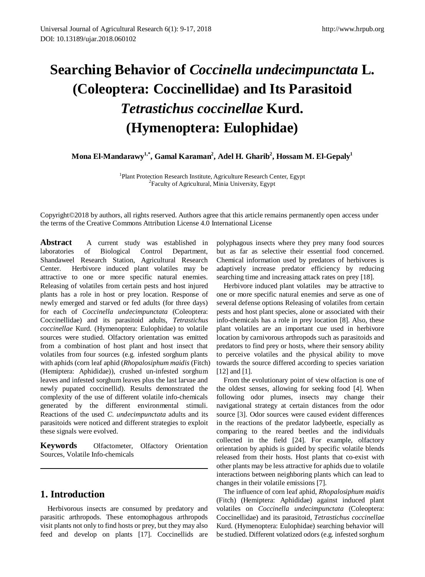# **Searching Behavior of** *Coccinella undecimpunctata* **L. (Coleoptera: Coccinellidae) and Its Parasitoid**  *Tetrastichus coccinellae* **Kurd. (Hymenoptera: Eulophidae)**

**Mona El-Mandarawy1,\*, Gamal Karaman2 , Adel H. Gharib2 , Hossam M. El-Gepaly1**

<sup>1</sup>Plant Protection Research Institute, Agriculture Research Center, Egypt <sup>2</sup>Faculty of Agricultural, Minia University, Egypt

Copyright©2018 by authors, all rights reserved. Authors agree that this article remains permanently open access under the terms of the Creative Commons Attribution License 4.0 International License

**Abstract** A current study was established in laboratories of Biological Control Department, Shandaweel Research Station, Agricultural Research Center. Herbivore induced plant volatiles may be attractive to one or more specific natural enemies. Releasing of volatiles from certain pests and host injured plants has a role in host or prey location. Response of newly emerged and starved or fed adults (for three days) for each of *Coccinella undecimpunctata* (Coleoptera: Coccinellidae) and its parasitoid adults, *Tetrastichus coccinellae* Kurd. (Hymenoptera: Eulophidae) to volatile sources were studied. Olfactory orientation was emitted from a combination of host plant and host insect that volatiles from four sources (e.g. infested sorghum plants with aphids (corn leaf aphid (*Rhopalosiphum maidis* (Fitch) (Hemiptera: Aphididae)), crushed un-infested sorghum leaves and infested sorghum leaves plus the last larvae and newly pupated coccinellid). Results demonstrated the complexity of the use of different volatile info-chemicals generated by the different environmental stimuli. Reactions of the used *C. undecimpunctata* adults and its parasitoids were noticed and different strategies to exploit these signals were evolved.

**Keywords** Olfactometer, Olfactory Orientation Sources, Volatile Info-chemicals

# **1. Introduction**

Herbivorous insects are consumed by predatory and parasitic arthropods. These entomophagous arthropods visit plants not only to find hosts or prey, but they may also feed and develop on plants [17]. Coccinellids are polyphagous insects where they prey many food sources but as far as selective their essential food concerned. Chemical information used by predators of herbivores is adaptively increase predator efficiency by reducing searching time and increasing attack rates on prey [18].

Herbivore induced plant volatiles may be attractive to one or more specific natural enemies and serve as one of several defense options Releasing of volatiles from certain pests and host plant species, alone or associated with their info-chemicals has a role in prey location [8]. Also, these plant volatiles are an important cue used in herbivore location by carnivorous arthropods such as parasitoids and predators to find prey or hosts, where their sensory ability to perceive volatiles and the physical ability to move towards the source differed according to species variation [12] and [1].

From the evolutionary point of view olfaction is one of the oldest senses, allowing for seeking food [4]. When following odor plumes, insects may change their navigational strategy at certain distances from the odor source [3]. Odor sources were caused evident differences in the reactions of the predator ladybeetle, especially as comparing to the reared beetles and the individuals collected in the field [24]. For example, olfactory orientation by aphids is guided by specific volatile blends released from their hosts. Host plants that co-exist with other plants may be less attractive for aphids due to volatile interactions between neighboring plants which can lead to changes in their volatile emissions [7].

The influence of corn leaf aphid, *Rhopalosiphum maidis* (Fitch) (Hemiptera: Aphididae) against induced plant volatiles on *Coccinella undecimpunctata* (Coleoptera: Coccinellidae) and its parasitoid, *Tetrastichus coccinellae* Kurd. (Hymenoptera: Eulophidae) searching behavior will be studied. Different volatized odors (e.g. infested sorghum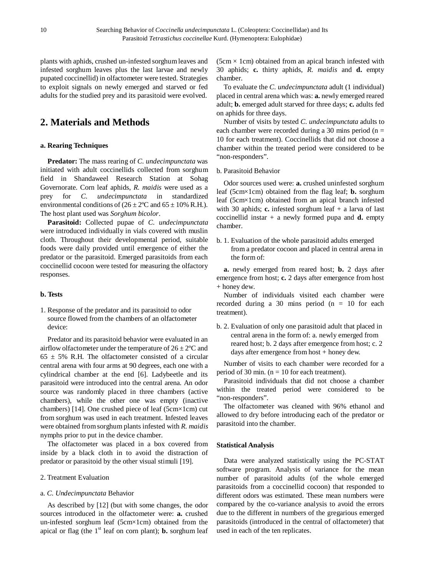plants with aphids, crushed un-infested sorghum leaves and infested sorghum leaves plus the last larvae and newly pupated coccinellid) in olfactometer were tested. Strategies to exploit signals on newly emerged and starved or fed adults for the studied prey and its parasitoid were evolved.

## **2. Materials and Methods**

#### **a. Rearing Techniques**

**Predator:** The mass rearing of *C. undecimpunctata* was initiated with adult coccinellids collected from sorghum field in Shandaweel Research Station at Sohag Governorate. Corn leaf aphids, *R. maidis* were used as a prey for *C. undecimpunctata* in standardized environmental conditions of  $(26 \pm 2^{\circ}\text{C}$  and  $65 \pm 10\%$  R.H.). The host plant used was *Sorghum bicolor*.

**Parasitoid:** Collected pupae of *C. undecimpunctata*  were introduced individually in vials covered with muslin cloth. Throughout their developmental period, suitable foods were daily provided until emergence of either the predator or the parasitoid. Emerged parasitoids from each coccinellid cocoon were tested for measuring the olfactory responses.

#### **b. Tests**

1. Response of the predator and its parasitoid to odor source flowed from the chambers of an olfactometer device:

Predator and its parasitoid behavior were evaluated in an airflow olfactometer under the temperature of  $26 \pm 2^{\circ}C$  and  $65 \pm 5\%$  R.H. The olfactometer consisted of a circular central arena with four arms at 90 degrees, each one with a cylindrical chamber at the end [6]. Ladybeetle and its parasitoid were introduced into the central arena. An odor source was randomly placed in three chambers (active chambers), while the other one was empty (inactive chambers) [14]. One crushed piece of leaf (5cm×1cm) cut from sorghum was used in each treatment. Infested leaves were obtained from sorghum plants infested with *R. maidis*  nymphs prior to put in the device chamber.

The olfactometer was placed in a box covered from inside by a black cloth in to avoid the distraction of predator or parasitoid by the other visual stimuli [19].

#### 2. Treatment Evaluation

#### a. *C. Undecimpunctata* Behavior

As described by [12] (but with some changes, the odor sources introduced in the olfactometer were: **a.** crushed un-infested sorghum leaf (5cm×1cm) obtained from the apical or flag (the  $1<sup>st</sup>$  leaf on corn plant); **b.** sorghum leaf  $(5cm \times 1cm)$  obtained from an apical branch infested with 30 aphids; **c.** thirty aphids, *R. maidis* and **d.** empty chamber.

To evaluate the *C. undecimpunctata* adult (1 individual) placed in central arena which was: **a.** newly emerged reared adult; **b.** emerged adult starved for three days; **c.** adults fed on aphids for three days.

Number of visits by tested *C. undecimpunctata* adults to each chamber were recorded during a 30 mins period ( $n =$ 10 for each treatment). Coccinellids that did not choose a chamber within the treated period were considered to be "non-responders".

b. Parasitoid Behavior

Odor sources used were: **a.** crushed uninfested sorghum leaf (5cm×1cm) obtained from the flag leaf; **b.** sorghum leaf (5cm×1cm) obtained from an apical branch infested with 30 aphids; **c.** infested sorghum leaf + a larva of last coccinellid instar  $+$  a newly formed pupa and **d.** empty chamber.

b. 1. Evaluation of the whole parasitoid adults emerged from a predator cocoon and placed in central arena in the form of:

**a.** newly emerged from reared host; **b.** 2 days after emergence from host; **c.** 2 days after emergence from host + honey dew.

Number of individuals visited each chamber were recorded during a 30 mins period  $(n = 10$  for each treatment).

b. 2. Evaluation of only one parasitoid adult that placed in central arena in the form of: a. newly emerged from reared host; b. 2 days after emergence from host; c. 2 days after emergence from host + honey dew.

Number of visits to each chamber were recorded for a period of 30 min. ( $n = 10$  for each treatment).

Parasitoid individuals that did not choose a chamber within the treated period were considered to be "non-responders".

The olfactometer was cleaned with 96% ethanol and allowed to dry before introducing each of the predator or parasitoid into the chamber.

#### **Statistical Analysis**

Data were analyzed statistically using the PC-STAT software program. Analysis of variance for the mean number of parasitoid adults (of the whole emerged parasitoids from a coccinellid cocoon) that responded to different odors was estimated. These mean numbers were compared by the co-variance analysis to avoid the errors due to the different in numbers of the gregarious emerged parasitoids (introduced in the central of olfactometer) that used in each of the ten replicates.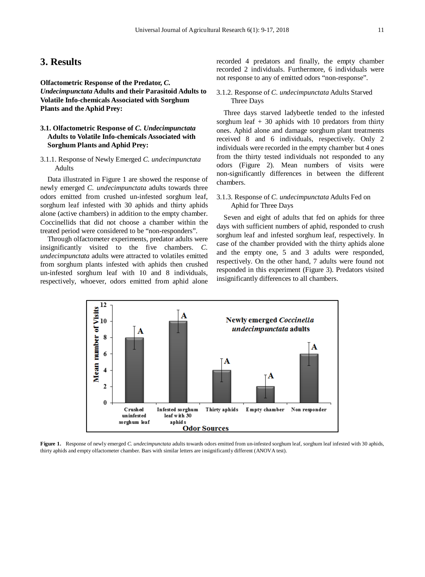### **3. Results**

**Olfactometric Response of the Predator,** *C. Undecimpunctata* **Adults and their Parasitoid Adults to Volatile Info-chemicals Associated with Sorghum Plants and the Aphid Prey:**

#### **3.1. Olfactometric Response of** *C. Undecimpunctata* **Adults to Volatile Info-chemicals Associated with Sorghum Plants and Aphid Prey:**

3.1.1. Response of Newly Emerged *C. undecimpunctata* Adults

Data illustrated in Figure 1 are showed the response of newly emerged *C. undecimpunctata* adults towards three odors emitted from crushed un-infested sorghum leaf, sorghum leaf infested with 30 aphids and thirty aphids alone (active chambers) in addition to the empty chamber. Coccinellids that did not choose a chamber within the treated period were considered to be "non-responders".

Through olfactometer experiments, predator adults were insignificantly visited to the five chambers. *C. undecimpunctata* adults were attracted to volatiles emitted from sorghum plants infested with aphids then crushed un-infested sorghum leaf with 10 and 8 individuals, respectively, whoever, odors emitted from aphid alone recorded 4 predators and finally, the empty chamber recorded 2 individuals. Furthermore, 6 individuals were not response to any of emitted odors "non-response".

#### 3.1.2. Response of *C. undecimpunctata* Adults Starved Three Days

Three days starved ladybeetle tended to the infested sorghum leaf  $+30$  aphids with 10 predators from thirty ones. Aphid alone and damage sorghum plant treatments received 8 and 6 individuals, respectively. Only 2 individuals were recorded in the empty chamber but 4 ones from the thirty tested individuals not responded to any odors (Figure 2). Mean numbers of visits were non-significantly differences in between the different chambers.

#### 3.1.3. Response of *C. undecimpunctata* Adults Fed on Aphid for Three Days

Seven and eight of adults that fed on aphids for three days with sufficient numbers of aphid, responded to crush sorghum leaf and infested sorghum leaf, respectively. In case of the chamber provided with the thirty aphids alone and the empty one, 5 and 3 adults were responded, respectively. On the other hand, 7 adults were found not responded in this experiment (Figure 3). Predators visited insignificantly differences to all chambers.



Figure 1. Response of newly emerged *C. undecimpunctata* adults towards odors emitted from un-infested sorghum leaf, sorghum leaf infested with 30 aphids, thirty aphids and empty olfactometer chamber. Bars with similar letters are insignificantly different (ANOVA test).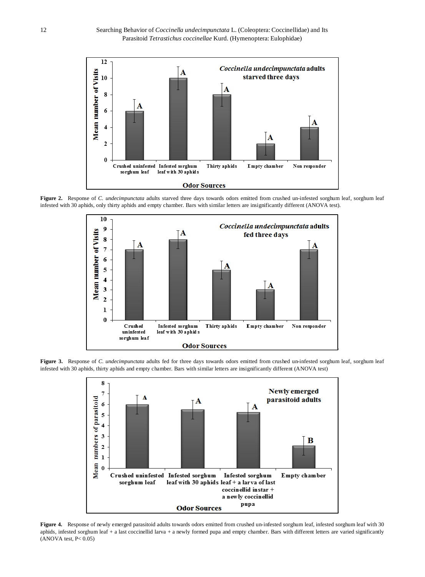

Figure 2. Response of *C. undecimpunctata* adults starved three days towards odors emitted from crushed un-infested sorghum leaf, sorghum leaf infested with 30 aphids, only thirty aphids and empty chamber. Bars with similar letters are insignificantly different (ANOVA test).



Figure 3. Response of *C. undecimpunctata* adults fed for three days towards odors emitted from crushed un-infested sorghum leaf, sorghum leaf infested with 30 aphids, thirty aphids and empty chamber. Bars with similar letters are insignificantly different (ANOVA test)



Figure 4. Response of newly emerged parasitoid adults towards odors emitted from crushed un-infested sorghum leaf, infested sorghum leaf with 30 aphids, infested sorghum leaf + a last coccinellid larva + a newly formed pupa and empty chamber. Bars with different letters are varied significantly  $(ANOVA test, P< 0.05)$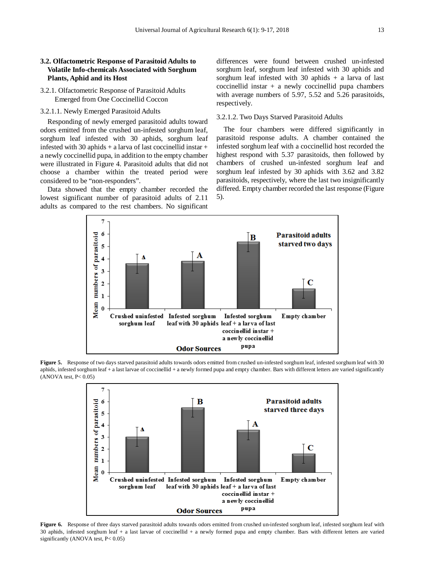#### **3.2. Olfactometric Response of Parasitoid Adults to Volatile Info-chemicals Associated with Sorghum Plants, Aphid and its Host**

- 3.2.1. Olfactometric Response of Parasitoid Adults Emerged from One Coccinellid Coccon
- 3.2.1.1. Newly Emerged Parasitoid Adults

Responding of newly emerged parasitoid adults toward odors emitted from the crushed un-infested sorghum leaf, sorghum leaf infested with 30 aphids, sorghum leaf infested with 30 aphids + a larva of last coccinellid instar + a newly coccinellid pupa, in addition to the empty chamber were illustrated in Figure 4. Parasitoid adults that did not choose a chamber within the treated period were considered to be "non-responders".

Data showed that the empty chamber recorded the lowest significant number of parasitoid adults of 2.11 adults as compared to the rest chambers. No significant differences were found between crushed un-infested sorghum leaf, sorghum leaf infested with 30 aphids and sorghum leaf infested with 30 aphids  $+$  a larva of last coccinellid instar + a newly coccinellid pupa chambers with average numbers of 5.97, 5.52 and 5.26 parasitoids, respectively.

#### 3.2.1.2. Two Days Starved Parasitoid Adults

The four chambers were differed significantly in parasitoid response adults. A chamber contained the infested sorghum leaf with a coccinellid host recorded the highest respond with 5.37 parasitoids, then followed by chambers of crushed un-infested sorghum leaf and sorghum leaf infested by 30 aphids with 3.62 and 3.82 parasitoids, respectively, where the last two insignificantly differed. Empty chamber recorded the last response (Figure 5).



Figure 5. Response of two days starved parasitoid adults towards odors emitted from crushed un-infested sorghum leaf, infested sorghum leaf with 30 aphids, infested sorghum leaf + a last larvae of coccinellid + a newly formed pupa and empty chamber. Bars with different letters are varied significantly  $(ANOVA test, P< 0.05)$ 



Figure 6. Response of three days starved parasitoid adults towards odors emitted from crushed un-infested sorghum leaf, infested sorghum leaf with 30 aphids, infested sorghum leaf + a last larvae of coccinellid + a newly formed pupa and empty chamber. Bars with different letters are varied significantly (ANOVA test, P< 0.05)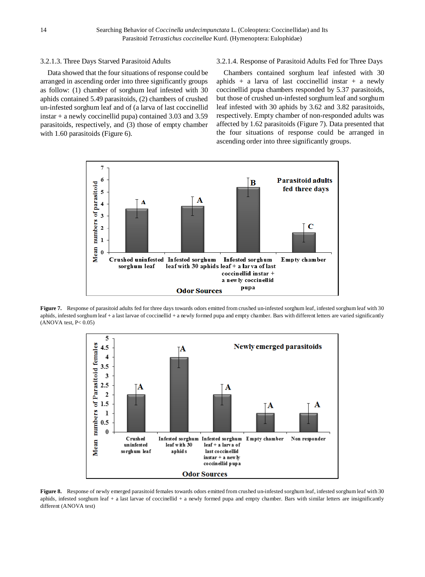#### 3.2.1.3. Three Days Starved Parasitoid Adults

Data showed that the four situations of response could be arranged in ascending order into three significantly groups as follow: (1) chamber of sorghum leaf infested with 30 aphids contained 5.49 parasitoids, (2) chambers of crushed un-infested sorghum leaf and of (a larva of last coccinellid instar + a newly coccinellid pupa) contained 3.03 and 3.59 parasitoids, respectively, and (3) those of empty chamber with 1.60 parasitoids (Figure 6).

#### 3.2.1.4. Response of Parasitoid Adults Fed for Three Days

Chambers contained sorghum leaf infested with 30 aphids + a larva of last coccinellid instar + a newly coccinellid pupa chambers responded by 5.37 parasitoids, but those of crushed un-infested sorghum leaf and sorghum leaf infested with 30 aphids by 3.62 and 3.82 parasitoids, respectively. Empty chamber of non-responded adults was affected by 1.62 parasitoids (Figure 7). Data presented that the four situations of response could be arranged in ascending order into three significantly groups.



Figure 7. Response of parasitoid adults fed for three days towards odors emitted from crushed un-infested sorghum leaf, infested sorghum leaf with 30 aphids, infested sorghum leaf + a last larvae of coccinellid + a newly formed pupa and empty chamber. Bars with different letters are varied significantly  $(ANOVA test, P< 0.05)$ 



Figure 8. Response of newly emerged parasitoid females towards odors emitted from crushed un-infested sorghum leaf, infested sorghum leaf with 30 aphids, infested sorghum leaf + a last larvae of coccinellid + a newly formed pupa and empty chamber. Bars with similar letters are insignificantly different (ANOVA test)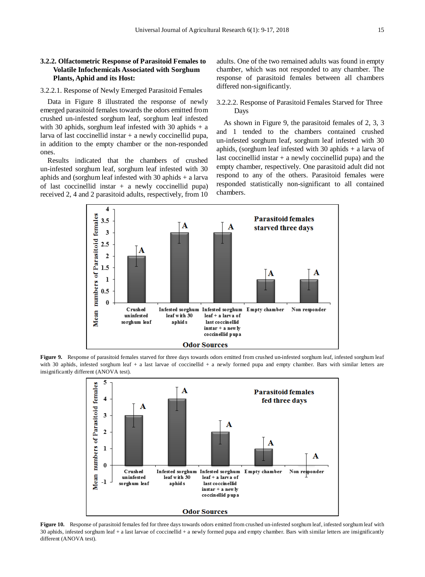#### **3.2.2. Olfactometric Response of Parasitoid Females to Volatile Infochemicals Associated with Sorghum Plants, Aphid and its Host:**

#### 3.2.2.1. Response of Newly Emerged Parasitoid Females

Data in Figure 8 illustrated the response of newly emerged parasitoid females towards the odors emitted from crushed un-infested sorghum leaf, sorghum leaf infested with 30 aphids, sorghum leaf infested with 30 aphids  $+$  a larva of last coccinellid instar  $+$  a newly coccinellid pupa, in addition to the empty chamber or the non-responded ones.

Results indicated that the chambers of crushed un-infested sorghum leaf, sorghum leaf infested with 30 aphids and (sorghum leaf infested with 30 aphids + a larva of last coccinellid instar  $+$  a newly coccinellid pupa) received 2, 4 and 2 parasitoid adults, respectively, from 10 adults. One of the two remained adults was found in empty chamber, which was not responded to any chamber. The response of parasitoid females between all chambers differed non-significantly.

#### 3.2.2.2. Response of Parasitoid Females Starved for Three Days

As shown in Figure 9, the parasitoid females of 2, 3, 3 and 1 tended to the chambers contained crushed un-infested sorghum leaf, sorghum leaf infested with 30 aphids, (sorghum leaf infested with 30 aphids  $+$  a larva of last coccinellid instar  $+$  a newly coccinellid pupa) and the empty chamber, respectively. One parasitoid adult did not respond to any of the others. Parasitoid females were responded statistically non-significant to all contained chambers.



Figure 9. Response of parasitoid females starved for three days towards odors emitted from crushed un-infested sorghum leaf, infested sorghum leaf with 30 aphids, infested sorghum leaf + a last larvae of coccinellid + a newly formed pupa and empty chamber. Bars with similar letters are insignificantly different (ANOVA test).



Figure 10. Response of parasitoid females fed for three days towards odors emitted from crushed un-infested sorghum leaf, infested sorghum leaf with 30 aphids, infested sorghum leaf + a last larvae of coccinellid + a newly formed pupa and empty chamber. Bars with similar letters are insignificantly different (ANOVA test).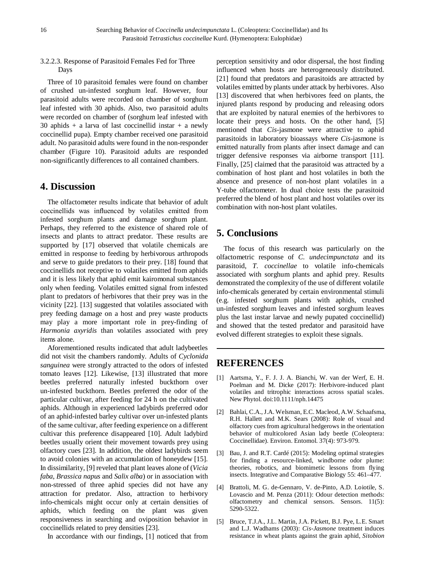#### 3.2.2.3. Response of Parasitoid Females Fed for Three Days

Three of 10 parasitoid females were found on chamber of crushed un-infested sorghum leaf. However, four parasitoid adults were recorded on chamber of sorghum leaf infested with 30 aphids. Also, two parasitoid adults were recorded on chamber of (sorghum leaf infested with 30 aphids + a larva of last coccinellid instar + a newly coccinellid pupa). Empty chamber received one parasitoid adult. No parasitoid adults were found in the non-responder chamber (Figure 10). Parasitoid adults are responded non-significantly differences to all contained chambers.

## **4. Discussion**

The olfactometer results indicate that behavior of adult coccinellids was influenced by volatiles emitted from infested sorghum plants and damage sorghum plant. Perhaps, they referred to the existence of shared role of insects and plants to attract predator. These results are supported by [17] observed that volatile chemicals are emitted in response to feeding by herbivorous arthropods and serve to guide predators to their prey. [18] found that coccinellids not receptive to volatiles emitted from aphids and it is less likely that aphid emit kairomonal substances only when feeding. Volatiles emitted signal from infested plant to predators of herbivores that their prey was in the vicinity [22]. [13] suggested that volatiles associated with prey feeding damage on a host and prey waste products may play a more important role in prey-finding of *Harmonia axyridis* than volatiles associated with prey items alone.

Aforementioned results indicated that adult ladybeetles did not visit the chambers randomly. Adults of *Cyclonida sanguinea* were strongly attracted to the odors of infested tomato leaves [12]. Likewise, [13] illustrated that more beetles preferred naturally infested buckthorn over un-infested buckthorn. Beetles preferred the odor of the particular cultivar, after feeding for 24 h on the cultivated aphids. Although in experienced ladybirds preferred odor of an aphid-infested barley cultivar over un-infested plants of the same cultivar, after feeding experience on a different cultivar this preference disappeared [10]. Adult ladybird beetles usually orient their movement towards prey using olfactory cues [23]. In addition, the oldest ladybirds seem to avoid colonies with an accumulation of honeydew [15]. In dissimilarity, [9] reveled that plant leaves alone of (*Vicia faba*, *Brassica napus* and *Salix alba*) or in association with non-stressed of three aphid species did not have any attraction for predator. Also, attraction to herbivory info-chemicals might occur only at certain densities of aphids, which feeding on the plant was given responsiveness in searching and oviposition behavior in coccinellids related to prey densities [23].

In accordance with our findings, [1] noticed that from

perception sensitivity and odor dispersal, the host finding influenced when hosts are heterogeneously distributed. [21] found that predators and parasitoids are attracted by volatiles emitted by plants under attack by herbivores. Also [13] discovered that when herbivores feed on plants, the injured plants respond by producing and releasing odors that are exploited by natural enemies of the herbivores to locate their preys and hosts. On the other hand, [5] mentioned that *Cis*-jasmone were attractive to aphid parasitoids in laboratory bioassays where *Cis*-jasmone is emitted naturally from plants after insect damage and can trigger defensive responses via airborne transport [11]. Finally, [25] claimed that the parasitoid was attracted by a combination of host plant and host volatiles in both the absence and presence of non-host plant volatiles in a Y-tube olfactometer. In dual choice tests the parasitoid preferred the blend of host plant and host volatiles over its combination with non-host plant volatiles.

# **5. Conclusions**

The focus of this research was particularly on the olfactometric response of *C. undecimpunctata* and its parasitoid, *T. coccinellae* to volatile info-chemicals associated with sorghum plants and aphid prey. Results demonstrated the complexity of the use of different volatile info-chemicals generated by certain environmental stimuli (e.g. infested sorghum plants with aphids, crushed un-infested sorghum leaves and infested sorghum leaves plus the last instar larvae and newly pupated coccinellid) and showed that the tested predator and parasitoid have evolved different strategies to exploit these signals.

## **REFERENCES**

- [1] Aartsma, Y., F. J. J. A. Bianchi, W. van der Werf, E. H. Poelman and M. Dicke (2017): Herbivore-induced plant volatiles and tritrophic interactions across spatial scales. New Phytol. doi:10.1111/nph.14475
- [2] Bahlai, C.A., J.A. Welsman, E.C. Macleod, A.W. Schaafsma, R.H. Hallett and M.K. Sears (2008): Role of visual and olfactory cues from agricultural hedgerows in the orientation behavior of multicolored Asian lady beetle (Coleoptera: Coccinellidae). Environ. Entomol. 37(4): 973-979.
- [3] Bau, J. and R.T. Cardé (2015): Modeling optimal strategies for finding a resource-linked, windborne odor plume: theories, robotics, and biomimetic lessons from flying insects. Integrative and Comparative Biology 55: 461–477.
- [4] Brattoli, M. G. de-Gennaro, V. de-Pinto, A.D. Loiotile, S. Lovascio and M. Penza (2011): Odour detection methods: olfactometry and chemical sensors. Sensors. 11(5): 5290-5322.
- [5] Bruce, T.J.A., J.L. Martin, J.A. Pickett, B.J. Pye, L.E. Smart and L.J. Wadhams (2003): *Cis*-*Jasmone* treatment induces resistance in wheat plants against the grain aphid, *Sitobion*